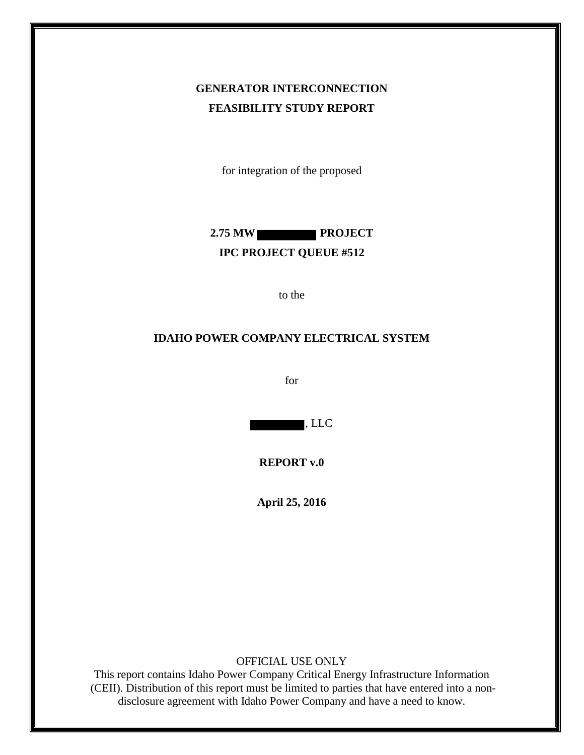# **GENERATOR INTERCONNECTION FEASIBILITY STUDY REPORT**

for integration of the proposed

**2.75 MW PROJECT IPC PROJECT QUEUE #512**

to the

#### **IDAHO POWER COMPANY ELECTRICAL SYSTEM**

for

, LLC

**REPORT v.0** 

**April 25, 2016**

OFFICIAL USE ONLY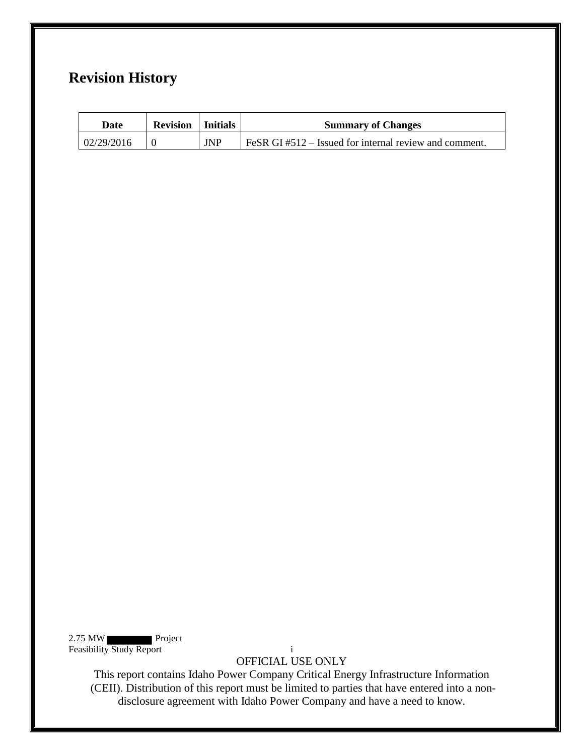# **Revision History**

| Date       | <b>Revision</b>   Initials |            | <b>Summary of Changes</b>                                             |
|------------|----------------------------|------------|-----------------------------------------------------------------------|
| 02/29/2016 |                            | <b>JNP</b> | $\overline{1}$ FeSR GI #512 – Issued for internal review and comment. |

2.75 MW Project Feasibility Study Report i

OFFICIAL USE ONLY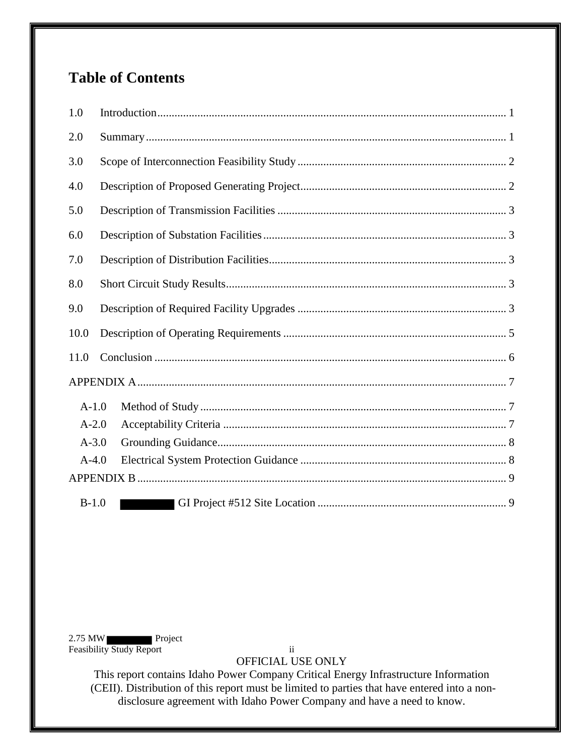# **Table of Contents**

| 1.0     |  |
|---------|--|
| 2.0     |  |
| 3.0     |  |
| 4.0     |  |
| 5.0     |  |
| 6.0     |  |
| 7.0     |  |
| 8.0     |  |
| 9.0     |  |
| 10.0    |  |
| 11.0    |  |
|         |  |
| $A-1.0$ |  |
| $A-2.0$ |  |
| $A-3.0$ |  |
| $A-4.0$ |  |
|         |  |
| $B-1.0$ |  |

2.75 MW Project Feasibility Study Report ii

OFFICIAL USE ONLY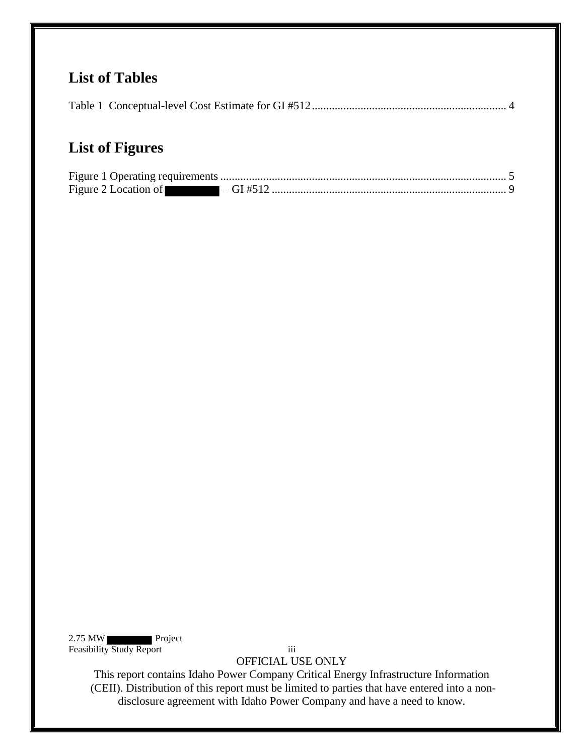# **List of Tables**

|--|

# **List of Figures**

2.75 MW Project Feasibility Study Report iii

OFFICIAL USE ONLY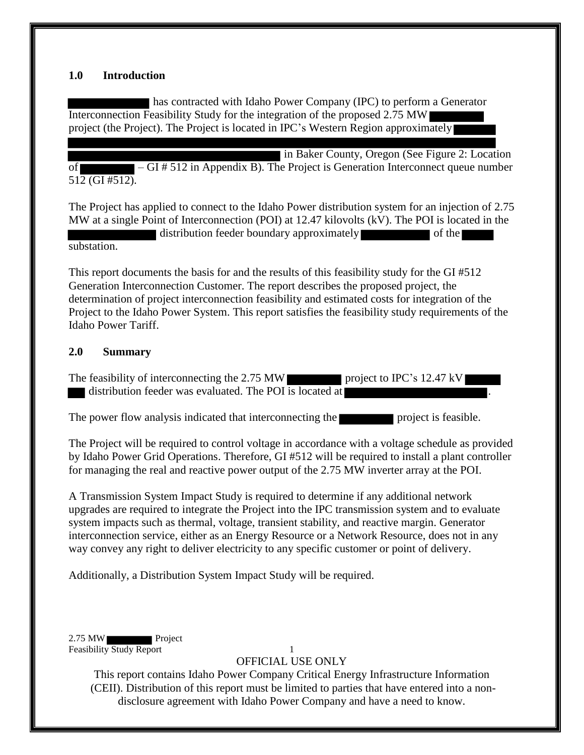#### <span id="page-4-0"></span>**1.0 Introduction**

has contracted with Idaho Power Company (IPC) to perform a Generator Interconnection Feasibility Study for the integration of the proposed 2.75 MW project (the Project). The Project is located in IPC's Western Region approximately

in Baker County, Oregon (See Figure 2: Location of – GI # 512 in Appendix B). The Project is Generation Interconnect queue number 512 (GI #512).

The Project has applied to connect to the Idaho Power distribution system for an injection of 2.75 MW at a single Point of Interconnection (POI) at 12.47 kilovolts (kV). The POI is located in the distribution feeder boundary approximately

substation.

This report documents the basis for and the results of this feasibility study for the GI #512 Generation Interconnection Customer. The report describes the proposed project, the determination of project interconnection feasibility and estimated costs for integration of the Project to the Idaho Power System. This report satisfies the feasibility study requirements of the Idaho Power Tariff.

#### <span id="page-4-1"></span>**2.0 Summary**

The feasibility of interconnecting the 2.75 MW project to IPC's 12.47 kV distribution feeder was evaluated. The POI is located at

The power flow analysis indicated that interconnecting the project is feasible.

The Project will be required to control voltage in accordance with a voltage schedule as provided by Idaho Power Grid Operations. Therefore, GI #512 will be required to install a plant controller for managing the real and reactive power output of the 2.75 MW inverter array at the POI.

A Transmission System Impact Study is required to determine if any additional network upgrades are required to integrate the Project into the IPC transmission system and to evaluate system impacts such as thermal, voltage, transient stability, and reactive margin. Generator interconnection service, either as an Energy Resource or a Network Resource, does not in any way convey any right to deliver electricity to any specific customer or point of delivery.

Additionally, a Distribution System Impact Study will be required.

2.75 MW Feasibility Study Report 1

OFFICIAL USE ONLY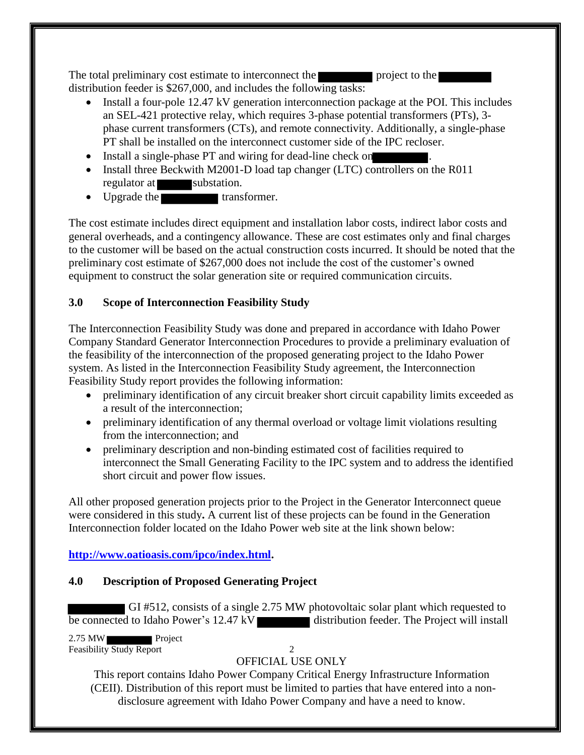The total preliminary cost estimate to interconnect the project to the distribution feeder is \$267,000, and includes the following tasks:

- Install a four-pole 12.47 kV generation interconnection package at the POI. This includes an SEL-421 protective relay, which requires 3-phase potential transformers (PTs), 3 phase current transformers (CTs), and remote connectivity. Additionally, a single-phase PT shall be installed on the interconnect customer side of the IPC recloser.
- Install a single-phase PT and wiring for dead-line check on
- Install three Beckwith M2001-D load tap changer (LTC) controllers on the R011 regulator at substation.
- Upgrade the transformer.

The cost estimate includes direct equipment and installation labor costs, indirect labor costs and general overheads, and a contingency allowance. These are cost estimates only and final charges to the customer will be based on the actual construction costs incurred. It should be noted that the preliminary cost estimate of \$267,000 does not include the cost of the customer's owned equipment to construct the solar generation site or required communication circuits.

## <span id="page-5-0"></span>**3.0 Scope of Interconnection Feasibility Study**

The Interconnection Feasibility Study was done and prepared in accordance with Idaho Power Company Standard Generator Interconnection Procedures to provide a preliminary evaluation of the feasibility of the interconnection of the proposed generating project to the Idaho Power system. As listed in the Interconnection Feasibility Study agreement, the Interconnection Feasibility Study report provides the following information:

- preliminary identification of any circuit breaker short circuit capability limits exceeded as a result of the interconnection;
- preliminary identification of any thermal overload or voltage limit violations resulting from the interconnection; and
- preliminary description and non-binding estimated cost of facilities required to interconnect the Small Generating Facility to the IPC system and to address the identified short circuit and power flow issues.

All other proposed generation projects prior to the Project in the Generator Interconnect queue were considered in this study**.** A current list of these projects can be found in the Generation Interconnection folder located on the Idaho Power web site at the link shown below:

## **[http://www.oatioasis.com/ipco/index.html.](http://www.oatioasis.com/ipco/index.html)**

## <span id="page-5-1"></span>**4.0 Description of Proposed Generating Project**

GI #512, consists of a single 2.75 MW photovoltaic solar plant which requested to  $\overline{b}$  be connected to Idaho Power's 12.47 kV distribution feeder. The Project will install

2.75 MW Project Feasibility Study Report 2

# OFFICIAL USE ONLY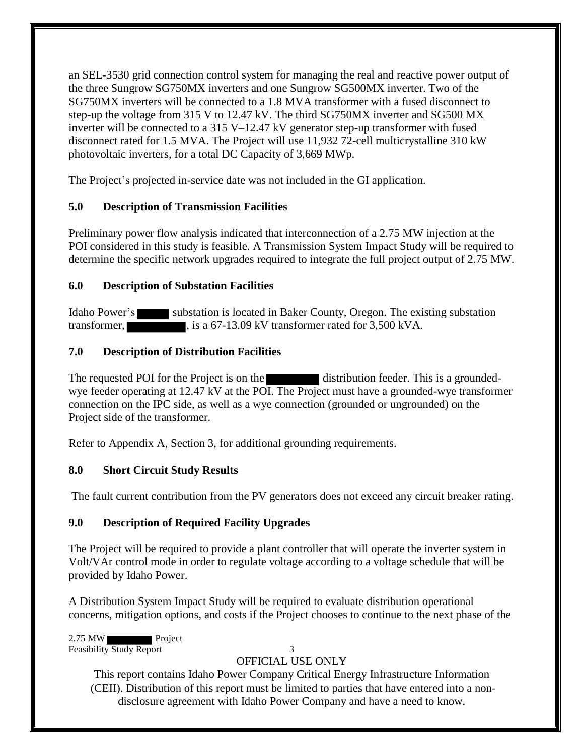an SEL-3530 grid connection control system for managing the real and reactive power output of the three Sungrow SG750MX inverters and one Sungrow SG500MX inverter. Two of the SG750MX inverters will be connected to a 1.8 MVA transformer with a fused disconnect to step-up the voltage from 315 V to 12.47 kV. The third SG750MX inverter and SG500 MX inverter will be connected to a 315 V–12.47 kV generator step-up transformer with fused disconnect rated for 1.5 MVA. The Project will use 11,932 72-cell multicrystalline 310 kW photovoltaic inverters, for a total DC Capacity of 3,669 MWp.

The Project's projected in-service date was not included in the GI application.

# <span id="page-6-0"></span>**5.0 Description of Transmission Facilities**

Preliminary power flow analysis indicated that interconnection of a 2.75 MW injection at the POI considered in this study is feasible. A Transmission System Impact Study will be required to determine the specific network upgrades required to integrate the full project output of 2.75 MW.

# <span id="page-6-1"></span>**6.0 Description of Substation Facilities**

Idaho Power's substation is located in Baker County, Oregon. The existing substation transformer, is a 67-13.09 kV transformer rated for 3,500 kVA.

# <span id="page-6-2"></span>**7.0 Description of Distribution Facilities**

The requested POI for the Project is on the distribution feeder. This is a groundedwye feeder operating at 12.47 kV at the POI. The Project must have a grounded-wye transformer connection on the IPC side, as well as a wye connection (grounded or ungrounded) on the Project side of the transformer.

Refer to Appendix A, Section 3, for additional grounding requirements.

# <span id="page-6-3"></span>**8.0 Short Circuit Study Results**

The fault current contribution from the PV generators does not exceed any circuit breaker rating.

# <span id="page-6-4"></span>**9.0 Description of Required Facility Upgrades**

The Project will be required to provide a plant controller that will operate the inverter system in Volt/VAr control mode in order to regulate voltage according to a voltage schedule that will be provided by Idaho Power.

A Distribution System Impact Study will be required to evaluate distribution operational concerns, mitigation options, and costs if the Project chooses to continue to the next phase of the

2.75 MW Project Feasibility Study Report 3

# OFFICIAL USE ONLY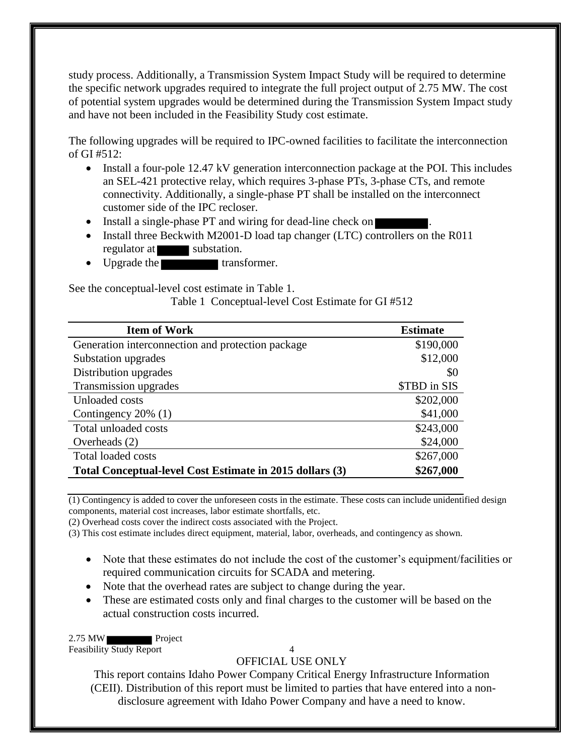study process. Additionally, a Transmission System Impact Study will be required to determine the specific network upgrades required to integrate the full project output of 2.75 MW. The cost of potential system upgrades would be determined during the Transmission System Impact study and have not been included in the Feasibility Study cost estimate.

The following upgrades will be required to IPC-owned facilities to facilitate the interconnection of GI #512:

- Install a four-pole 12.47 kV generation interconnection package at the POI. This includes an SEL-421 protective relay, which requires 3-phase PTs, 3-phase CTs, and remote connectivity. Additionally, a single-phase PT shall be installed on the interconnect customer side of the IPC recloser.
- Install a single-phase PT and wiring for dead-line check on
- Install three Beckwith M2001-D load tap changer (LTC) controllers on the R011 regulator at substation.
- Upgrade the transformer.

<span id="page-7-0"></span>See the conceptual-level cost estimate in Table 1.

Table 1 Conceptual-level Cost Estimate for GI #512

| <b>Item of Work</b>                                      | <b>Estimate</b> |
|----------------------------------------------------------|-----------------|
| Generation interconnection and protection package        | \$190,000       |
| Substation upgrades                                      | \$12,000        |
| Distribution upgrades                                    | \$0             |
| Transmission upgrades                                    | \$TBD in SIS    |
| Unloaded costs                                           | \$202,000       |
| Contingency 20% (1)                                      | \$41,000        |
| Total unloaded costs                                     | \$243,000       |
| Overheads $(2)$                                          | \$24,000        |
| <b>Total loaded costs</b>                                | \$267,000       |
| Total Conceptual-level Cost Estimate in 2015 dollars (3) | \$267,000       |

(1) Contingency is added to cover the unforeseen costs in the estimate. These costs can include unidentified design components, material cost increases, labor estimate shortfalls, etc.

(2) Overhead costs cover the indirect costs associated with the Project.

(3) This cost estimate includes direct equipment, material, labor, overheads, and contingency as shown.

- Note that these estimates do not include the cost of the customer's equipment/facilities or required communication circuits for SCADA and metering.
- Note that the overhead rates are subject to change during the year.
- These are estimated costs only and final charges to the customer will be based on the actual construction costs incurred.

2.75 MW Project

Feasibility Study Report 4

## OFFICIAL USE ONLY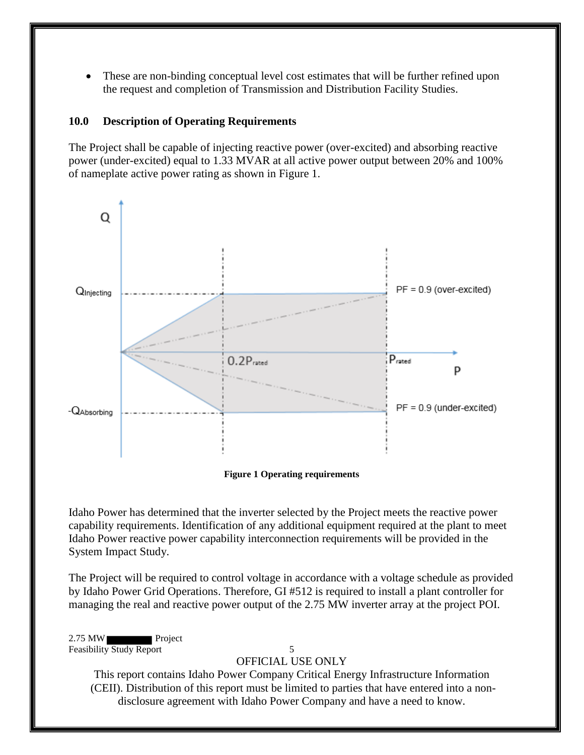These are non-binding conceptual level cost estimates that will be further refined upon the request and completion of Transmission and Distribution Facility Studies.

#### <span id="page-8-0"></span>**10.0 Description of Operating Requirements**

The Project shall be capable of injecting reactive power (over-excited) and absorbing reactive power (under-excited) equal to 1.33 MVAR at all active power output between 20% and 100% of nameplate active power rating as shown in Figure 1.



**Figure 1 Operating requirements** 

<span id="page-8-1"></span>Idaho Power has determined that the inverter selected by the Project meets the reactive power capability requirements. Identification of any additional equipment required at the plant to meet Idaho Power reactive power capability interconnection requirements will be provided in the System Impact Study.

The Project will be required to control voltage in accordance with a voltage schedule as provided by Idaho Power Grid Operations. Therefore, GI #512 is required to install a plant controller for managing the real and reactive power output of the 2.75 MW inverter array at the project POI.

2.75 MW Feasibility Study Report 5

#### OFFICIAL USE ONLY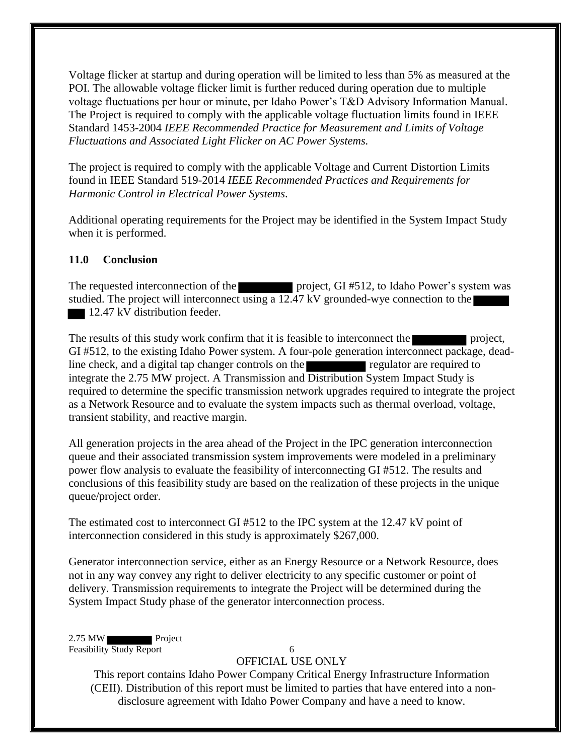Voltage flicker at startup and during operation will be limited to less than 5% as measured at the POI. The allowable voltage flicker limit is further reduced during operation due to multiple voltage fluctuations per hour or minute, per Idaho Power's T&D Advisory Information Manual. The Project is required to comply with the applicable voltage fluctuation limits found in IEEE Standard 1453-2004 *IEEE Recommended Practice for Measurement and Limits of Voltage Fluctuations and Associated Light Flicker on AC Power Systems.* 

The project is required to comply with the applicable Voltage and Current Distortion Limits found in IEEE Standard 519-2014 *IEEE Recommended Practices and Requirements for Harmonic Control in Electrical Power Systems*.

Additional operating requirements for the Project may be identified in the System Impact Study when it is performed.

#### <span id="page-9-0"></span>**11.0 Conclusion**

The requested interconnection of the project, GI #512, to Idaho Power's system was studied. The project will interconnect using a 12.47 kV grounded-wye connection to the 12.47 kV distribution feeder.

The results of this study work confirm that it is feasible to interconnect the project, GI #512, to the existing Idaho Power system. A four-pole generation interconnect package, deadline check, and a digital tap changer controls on the regulator are required to integrate the 2.75 MW project. A Transmission and Distribution System Impact Study is required to determine the specific transmission network upgrades required to integrate the project as a Network Resource and to evaluate the system impacts such as thermal overload, voltage, transient stability, and reactive margin.

All generation projects in the area ahead of the Project in the IPC generation interconnection queue and their associated transmission system improvements were modeled in a preliminary power flow analysis to evaluate the feasibility of interconnecting GI #512. The results and conclusions of this feasibility study are based on the realization of these projects in the unique queue/project order.

The estimated cost to interconnect GI #512 to the IPC system at the 12.47 kV point of interconnection considered in this study is approximately \$267,000.

Generator interconnection service, either as an Energy Resource or a Network Resource, does not in any way convey any right to deliver electricity to any specific customer or point of delivery. Transmission requirements to integrate the Project will be determined during the System Impact Study phase of the generator interconnection process.

2.75 MW Project Feasibility Study Report 6

## OFFICIAL USE ONLY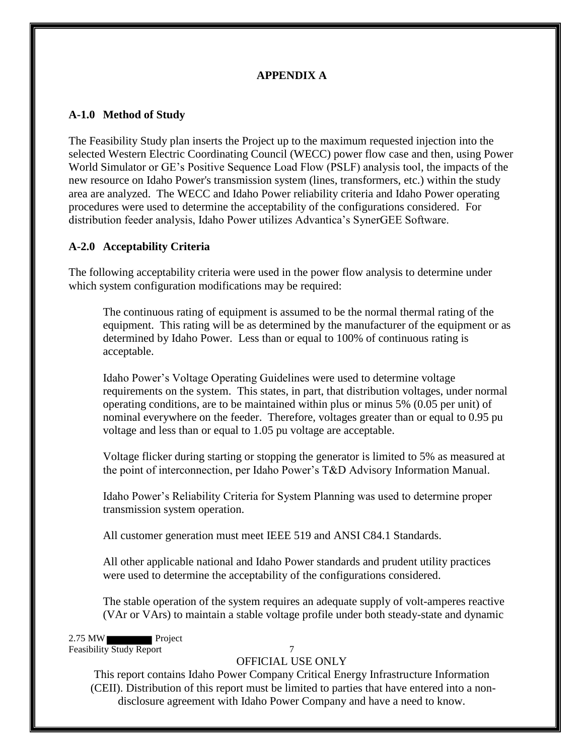## **APPENDIX A**

## <span id="page-10-1"></span><span id="page-10-0"></span>**A-1.0 Method of Study**

The Feasibility Study plan inserts the Project up to the maximum requested injection into the selected Western Electric Coordinating Council (WECC) power flow case and then, using Power World Simulator or GE's Positive Sequence Load Flow (PSLF) analysis tool, the impacts of the new resource on Idaho Power's transmission system (lines, transformers, etc.) within the study area are analyzed. The WECC and Idaho Power reliability criteria and Idaho Power operating procedures were used to determine the acceptability of the configurations considered. For distribution feeder analysis, Idaho Power utilizes Advantica's SynerGEE Software.

## <span id="page-10-2"></span>**A-2.0 Acceptability Criteria**

The following acceptability criteria were used in the power flow analysis to determine under which system configuration modifications may be required:

 The continuous rating of equipment is assumed to be the normal thermal rating of the equipment. This rating will be as determined by the manufacturer of the equipment or as determined by Idaho Power. Less than or equal to 100% of continuous rating is acceptable.

Idaho Power's Voltage Operating Guidelines were used to determine voltage requirements on the system. This states, in part, that distribution voltages, under normal operating conditions, are to be maintained within plus or minus 5% (0.05 per unit) of nominal everywhere on the feeder. Therefore, voltages greater than or equal to 0.95 pu voltage and less than or equal to 1.05 pu voltage are acceptable.

Voltage flicker during starting or stopping the generator is limited to 5% as measured at the point of interconnection, per Idaho Power's T&D Advisory Information Manual.

Idaho Power's Reliability Criteria for System Planning was used to determine proper transmission system operation.

All customer generation must meet IEEE 519 and ANSI C84.1 Standards.

All other applicable national and Idaho Power standards and prudent utility practices were used to determine the acceptability of the configurations considered.

The stable operation of the system requires an adequate supply of volt-amperes reactive (VAr or VArs) to maintain a stable voltage profile under both steady-state and dynamic

2.75 MW Project Feasibility Study Report 7

## OFFICIAL USE ONLY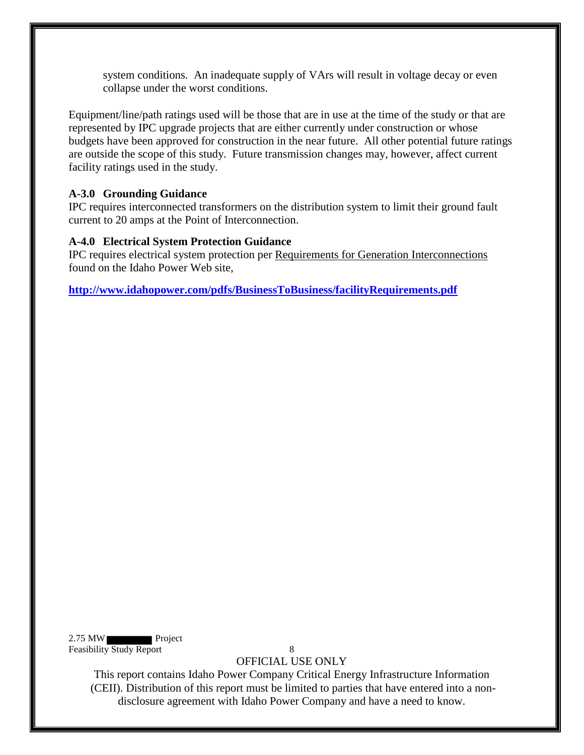system conditions. An inadequate supply of VArs will result in voltage decay or even collapse under the worst conditions.

Equipment/line/path ratings used will be those that are in use at the time of the study or that are represented by IPC upgrade projects that are either currently under construction or whose budgets have been approved for construction in the near future. All other potential future ratings are outside the scope of this study. Future transmission changes may, however, affect current facility ratings used in the study.

## <span id="page-11-0"></span>**A-3.0 Grounding Guidance**

IPC requires interconnected transformers on the distribution system to limit their ground fault current to 20 amps at the Point of Interconnection.

#### <span id="page-11-1"></span>**A-4.0 Electrical System Protection Guidance**

IPC requires electrical system protection per Requirements for Generation Interconnections found on the Idaho Power Web site,

**<http://www.idahopower.com/pdfs/BusinessToBusiness/facilityRequirements.pdf>**

2.75 MW Project Feasibility Study Report 8

OFFICIAL USE ONLY